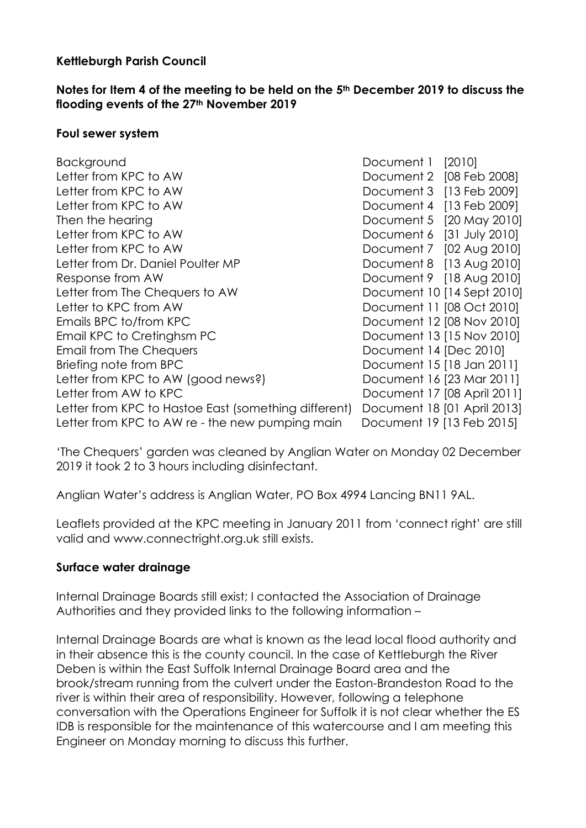### **Kettleburgh Parish Council**

#### **Notes for Item 4 of the meeting to be held on the 5th December 2019 to discuss the flooding events of the 27th November 2019**

#### **Foul sewer system**

| Background                                           | Document 1 [2010]           |
|------------------------------------------------------|-----------------------------|
| Letter from KPC to AW                                | Document 2 [08 Feb 2008]    |
| Letter from KPC to AW                                | Document 3 [13 Feb 2009]    |
| Letter from KPC to AW                                | Document 4 [13 Feb 2009]    |
| Then the hearing                                     | Document 5 [20 May 2010]    |
| Letter from KPC to AW                                | Document 6 [31 July 2010]   |
| Letter from KPC to AW                                | Document 7 [02 Aug 2010]    |
| Letter from Dr. Daniel Poulter MP                    | Document 8 [13 Aug 2010]    |
| Response from AW                                     | Document 9 [18 Aug 2010]    |
| Letter from The Chequers to AW                       | Document 10 [14 Sept 2010]  |
| Letter to KPC from AW                                | Document 11 [08 Oct 2010]   |
| Emails BPC to/from KPC                               | Document 12 [08 Nov 2010]   |
| Email KPC to Cretinghsm PC                           | Document 13 [15 Nov 2010]   |
| <b>Email from The Chequers</b>                       | Document 14 [Dec 2010]      |
| Briefing note from BPC                               | Document 15 [18 Jan 2011]   |
| Letter from KPC to AW (good news?)                   | Document 16 [23 Mar 2011]   |
| Letter from AW to KPC                                | Document 17 [08 April 2011] |
| Letter from KPC to Hastoe East (something different) | Document 18 [01 April 2013] |
| Letter from KPC to AW re - the new pumping main      | Document 19 [13 Feb 2015]   |

'The Chequers' garden was cleaned by Anglian Water on Monday 02 December 2019 it took 2 to 3 hours including disinfectant.

Anglian Water's address is Anglian Water, PO Box 4994 Lancing BN11 9AL.

Leaflets provided at the KPC meeting in January 2011 from 'connect right' are still valid and www.connectright.org.uk still exists.

### **Surface water drainage**

Internal Drainage Boards still exist; I contacted the Association of Drainage Authorities and they provided links to the following information –

Internal Drainage Boards are what is known as the lead local flood authority and in their absence this is the county council. In the case of Kettleburgh the River Deben is within the East Suffolk Internal Drainage Board area and the brook/stream running from the culvert under the Easton-Brandeston Road to the river is within their area of responsibility. However, following a telephone conversation with the Operations Engineer for Suffolk it is not clear whether the ES IDB is responsible for the maintenance of this watercourse and I am meeting this Engineer on Monday morning to discuss this further.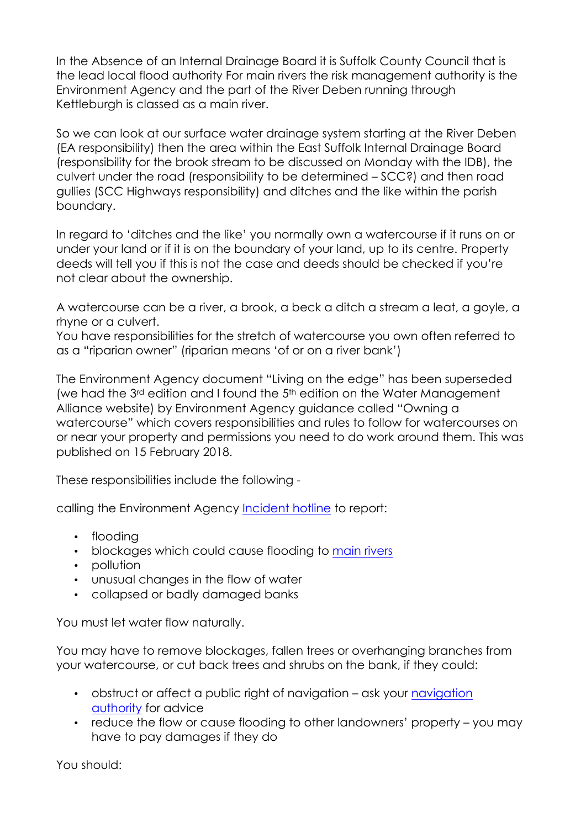In the Absence of an Internal Drainage Board it is Suffolk County Council that is the lead local flood authority For main rivers the risk management authority is the Environment Agency and the part of the River Deben running through Kettleburgh is classed as a main river.

So we can look at our surface water drainage system starting at the River Deben (EA responsibility) then the area within the East Suffolk Internal Drainage Board (responsibility for the brook stream to be discussed on Monday with the IDB), the culvert under the road (responsibility to be determined – SCC?) and then road gullies (SCC Highways responsibility) and ditches and the like within the parish boundary.

In regard to 'ditches and the like' you normally own a watercourse if it runs on or under your land or if it is on the boundary of your land, up to its centre. Property deeds will tell you if this is not the case and deeds should be checked if you're not clear about the ownership.

A watercourse can be a river, a brook, a beck a ditch a stream a leat, a goyle, a rhyne or a culvert.

You have responsibilities for the stretch of watercourse you own often referred to as a "riparian owner" (riparian means 'of or on a river bank')

The Environment Agency document "Living on the edge" has been superseded (we had the 3rd edition and I found the 5th edition on the Water Management Alliance website) by Environment Agency guidance called "Owning a watercourse" which covers responsibilities and rules to follow for watercourses on or near your property and permissions you need to do work around them. This was published on 15 February 2018.

These responsibilities include the following -

calling the Environment Agency Incident hotline to report:

- flooding
- blockages which could cause flooding to main rivers
- pollution
- unusual changes in the flow of water
- collapsed or badly damaged banks

You must let water flow naturally.

You may have to remove blockages, fallen trees or overhanging branches from your watercourse, or cut back trees and shrubs on the bank, if they could:

- obstruct or affect a public right of navigation ask your navigation authority for advice
- reduce the flow or cause flooding to other landowners' property you may have to pay damages if they do

You should: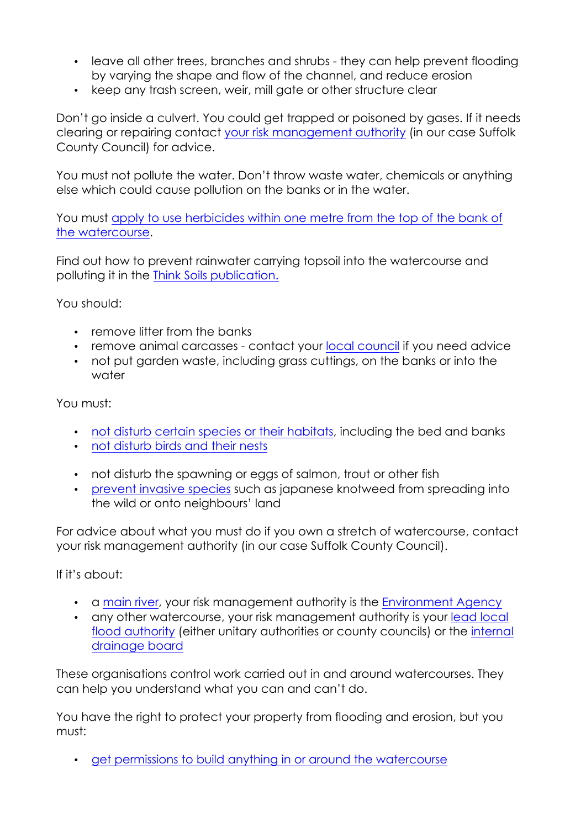- leave all other trees, branches and shrubs they can help prevent flooding by varying the shape and flow of the channel, and reduce erosion
- keep any trash screen, weir, mill gate or other structure clear

Don't go inside a culvert. You could get trapped or poisoned by gases. If it needs clearing or repairing contact your risk management authority (in our case Suffolk County Council) for advice.

You must not pollute the water. Don't throw waste water, chemicals or anything else which could cause pollution on the banks or in the water.

You must apply to use herbicides within one metre from the top of the bank of the watercourse.

Find out how to prevent rainwater carrying topsoil into the watercourse and polluting it in the Think Soils publication.

You should:

- remove litter from the banks
- remove animal carcasses contact your local council if you need advice
- not put garden waste, including grass cuttings, on the banks or into the water

You must:

- not disturb certain species or their habitats, including the bed and banks
- not disturb birds and their nests
- not disturb the spawning or eggs of salmon, trout or other fish
- prevent invasive species such as japanese knotweed from spreading into the wild or onto neighbours' land

For advice about what you must do if you own a stretch of watercourse, contact your risk management authority (in our case Suffolk County Council).

If it's about:

- a main river, your risk management authority is the Environment Agency
- any other watercourse, your risk management authority is your lead local flood authority (either unitary authorities or county councils) or the internal drainage board

These organisations control work carried out in and around watercourses. They can help you understand what you can and can't do.

You have the right to protect your property from flooding and erosion, but you must:

• get permissions to build anything in or around the watercourse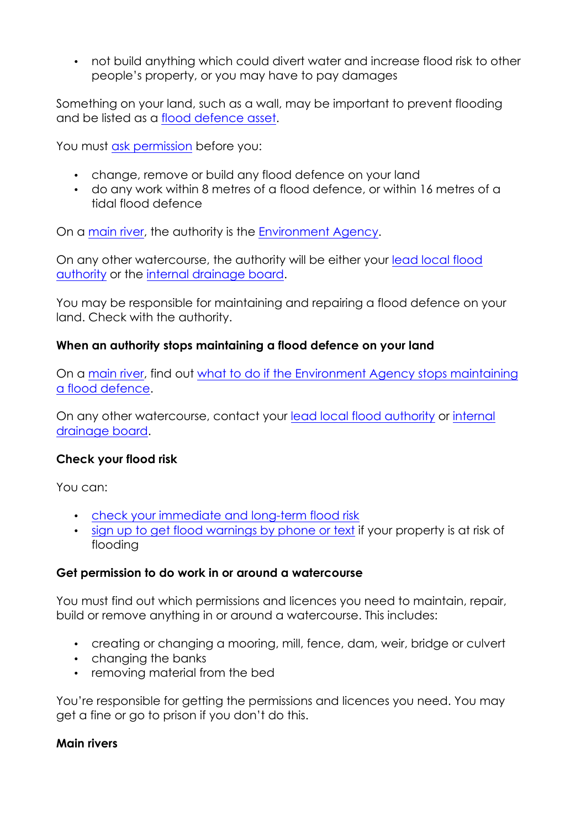• not build anything which could divert water and increase flood risk to other people's property, or you may have to pay damages

Something on your land, such as a wall, may be important to prevent flooding and be listed as a flood defence asset.

You must ask permission before you:

- change, remove or build any flood defence on your land
- do any work within 8 metres of a flood defence, or within 16 metres of a tidal flood defence

On a main river, the authority is the Environment Agency.

On any other watercourse, the authority will be either your lead local flood authority or the internal drainage board.

You may be responsible for maintaining and repairing a flood defence on your land. Check with the authority.

### **When an authority stops maintaining a flood defence on your land**

On a main river, find out what to do if the Environment Agency stops maintaining a flood defence.

On any other watercourse, contact your lead local flood authority or internal drainage board.

# **Check your flood risk**

You can:

- check your immediate and long-term flood risk
- sign up to get flood warnings by phone or text if your property is at risk of flooding

# **Get permission to do work in or around a watercourse**

You must find out which permissions and licences you need to maintain, repair, build or remove anything in or around a watercourse. This includes:

- creating or changing a mooring, mill, fence, dam, weir, bridge or culvert
- changing the banks
- removing material from the bed

You're responsible for getting the permissions and licences you need. You may get a fine or go to prison if you don't do this.

### **Main rivers**